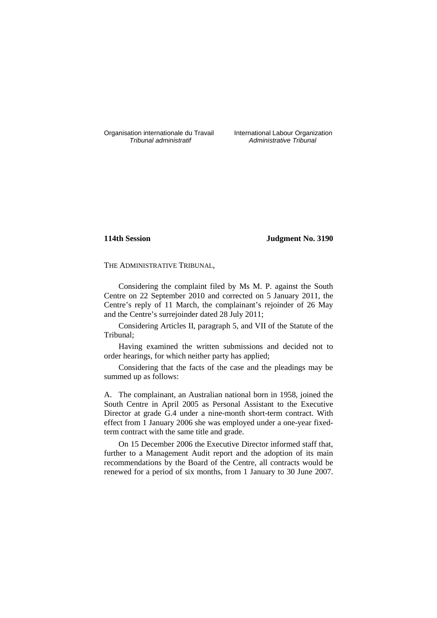Organisation internationale du Travail International Labour Organization<br> *Tribunal administratif Administrative Tribunal* 

Administrative Tribunal

# **114th Session Judgment No. 3190**

THE ADMINISTRATIVE TRIBUNAL,

Considering the complaint filed by Ms M. P. against the South Centre on 22 September 2010 and corrected on 5 January 2011, the Centre's reply of 11 March, the complainant's rejoinder of 26 May and the Centre's surrejoinder dated 28 July 2011;

Considering Articles II, paragraph 5, and VII of the Statute of the Tribunal;

Having examined the written submissions and decided not to order hearings, for which neither party has applied;

Considering that the facts of the case and the pleadings may be summed up as follows:

A. The complainant, an Australian national born in 1958, joined the South Centre in April 2005 as Personal Assistant to the Executive Director at grade G.4 under a nine-month short-term contract. With effect from 1 January 2006 she was employed under a one-year fixedterm contract with the same title and grade.

On 15 December 2006 the Executive Director informed staff that, further to a Management Audit report and the adoption of its main recommendations by the Board of the Centre, all contracts would be renewed for a period of six months, from 1 January to 30 June 2007.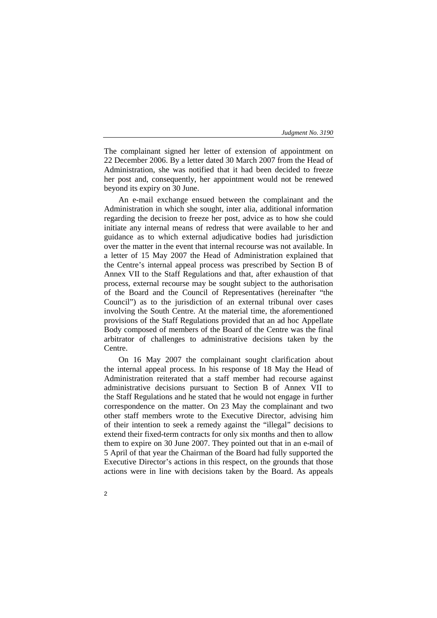The complainant signed her letter of extension of appointment on 22 December 2006. By a letter dated 30 March 2007 from the Head of Administration, she was notified that it had been decided to freeze her post and, consequently, her appointment would not be renewed beyond its expiry on 30 June.

An e-mail exchange ensued between the complainant and the Administration in which she sought, inter alia, additional information regarding the decision to freeze her post, advice as to how she could initiate any internal means of redress that were available to her and guidance as to which external adjudicative bodies had jurisdiction over the matter in the event that internal recourse was not available. In a letter of 15 May 2007 the Head of Administration explained that the Centre's internal appeal process was prescribed by Section B of Annex VII to the Staff Regulations and that, after exhaustion of that process, external recourse may be sought subject to the authorisation of the Board and the Council of Representatives (hereinafter "the Council") as to the jurisdiction of an external tribunal over cases involving the South Centre. At the material time, the aforementioned provisions of the Staff Regulations provided that an ad hoc Appellate Body composed of members of the Board of the Centre was the final arbitrator of challenges to administrative decisions taken by the Centre.

On 16 May 2007 the complainant sought clarification about the internal appeal process. In his response of 18 May the Head of Administration reiterated that a staff member had recourse against administrative decisions pursuant to Section B of Annex VII to the Staff Regulations and he stated that he would not engage in further correspondence on the matter. On 23 May the complainant and two other staff members wrote to the Executive Director, advising him of their intention to seek a remedy against the "illegal" decisions to extend their fixed-term contracts for only six months and then to allow them to expire on 30 June 2007. They pointed out that in an e-mail of 5 April of that year the Chairman of the Board had fully supported the Executive Director's actions in this respect, on the grounds that those actions were in line with decisions taken by the Board. As appeals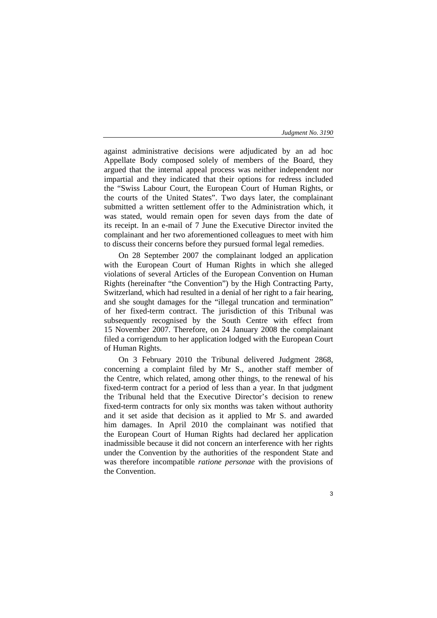against administrative decisions were adjudicated by an ad hoc Appellate Body composed solely of members of the Board, they argued that the internal appeal process was neither independent nor impartial and they indicated that their options for redress included the "Swiss Labour Court, the European Court of Human Rights, or the courts of the United States". Two days later, the complainant submitted a written settlement offer to the Administration which, it was stated, would remain open for seven days from the date of its receipt. In an e-mail of 7 June the Executive Director invited the complainant and her two aforementioned colleagues to meet with him to discuss their concerns before they pursued formal legal remedies.

On 28 September 2007 the complainant lodged an application with the European Court of Human Rights in which she alleged violations of several Articles of the European Convention on Human Rights (hereinafter "the Convention") by the High Contracting Party, Switzerland, which had resulted in a denial of her right to a fair hearing, and she sought damages for the "illegal truncation and termination" of her fixed-term contract. The jurisdiction of this Tribunal was subsequently recognised by the South Centre with effect from 15 November 2007. Therefore, on 24 January 2008 the complainant filed a corrigendum to her application lodged with the European Court of Human Rights.

On 3 February 2010 the Tribunal delivered Judgment 2868, concerning a complaint filed by Mr S., another staff member of the Centre, which related, among other things, to the renewal of his fixed-term contract for a period of less than a year. In that judgment the Tribunal held that the Executive Director's decision to renew fixed-term contracts for only six months was taken without authority and it set aside that decision as it applied to Mr S. and awarded him damages. In April 2010 the complainant was notified that the European Court of Human Rights had declared her application inadmissible because it did not concern an interference with her rights under the Convention by the authorities of the respondent State and was therefore incompatible *ratione personae* with the provisions of the Convention.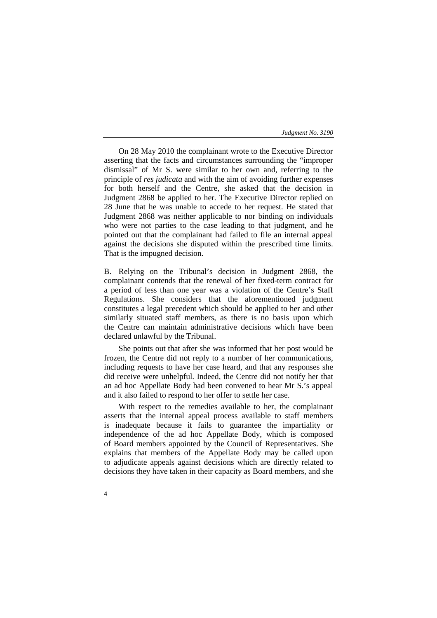On 28 May 2010 the complainant wrote to the Executive Director asserting that the facts and circumstances surrounding the "improper dismissal" of Mr S. were similar to her own and, referring to the principle of *res judicata* and with the aim of avoiding further expenses for both herself and the Centre, she asked that the decision in Judgment 2868 be applied to her. The Executive Director replied on 28 June that he was unable to accede to her request. He stated that Judgment 2868 was neither applicable to nor binding on individuals who were not parties to the case leading to that judgment, and he pointed out that the complainant had failed to file an internal appeal against the decisions she disputed within the prescribed time limits. That is the impugned decision.

B. Relying on the Tribunal's decision in Judgment 2868, the complainant contends that the renewal of her fixed-term contract for a period of less than one year was a violation of the Centre's Staff Regulations. She considers that the aforementioned judgment constitutes a legal precedent which should be applied to her and other similarly situated staff members, as there is no basis upon which the Centre can maintain administrative decisions which have been declared unlawful by the Tribunal.

She points out that after she was informed that her post would be frozen, the Centre did not reply to a number of her communications, including requests to have her case heard, and that any responses she did receive were unhelpful. Indeed, the Centre did not notify her that an ad hoc Appellate Body had been convened to hear Mr S.'s appeal and it also failed to respond to her offer to settle her case.

With respect to the remedies available to her, the complainant asserts that the internal appeal process available to staff members is inadequate because it fails to guarantee the impartiality or independence of the ad hoc Appellate Body, which is composed of Board members appointed by the Council of Representatives. She explains that members of the Appellate Body may be called upon to adjudicate appeals against decisions which are directly related to decisions they have taken in their capacity as Board members, and she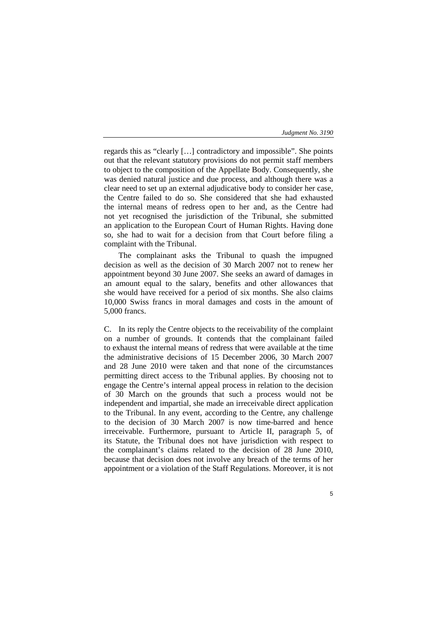regards this as "clearly […] contradictory and impossible". She points out that the relevant statutory provisions do not permit staff members to object to the composition of the Appellate Body. Consequently, she was denied natural justice and due process, and although there was a clear need to set up an external adjudicative body to consider her case, the Centre failed to do so. She considered that she had exhausted the internal means of redress open to her and, as the Centre had not yet recognised the jurisdiction of the Tribunal, she submitted an application to the European Court of Human Rights. Having done so, she had to wait for a decision from that Court before filing a complaint with the Tribunal.

The complainant asks the Tribunal to quash the impugned decision as well as the decision of 30 March 2007 not to renew her appointment beyond 30 June 2007. She seeks an award of damages in an amount equal to the salary, benefits and other allowances that she would have received for a period of six months. She also claims 10,000 Swiss francs in moral damages and costs in the amount of 5,000 francs.

C. In its reply the Centre objects to the receivability of the complaint on a number of grounds. It contends that the complainant failed to exhaust the internal means of redress that were available at the time the administrative decisions of 15 December 2006, 30 March 2007 and 28 June 2010 were taken and that none of the circumstances permitting direct access to the Tribunal applies. By choosing not to engage the Centre's internal appeal process in relation to the decision of 30 March on the grounds that such a process would not be independent and impartial, she made an irreceivable direct application to the Tribunal. In any event, according to the Centre, any challenge to the decision of 30 March 2007 is now time-barred and hence irreceivable. Furthermore, pursuant to Article II, paragraph 5, of its Statute, the Tribunal does not have jurisdiction with respect to the complainant's claims related to the decision of 28 June 2010, because that decision does not involve any breach of the terms of her appointment or a violation of the Staff Regulations. Moreover, it is not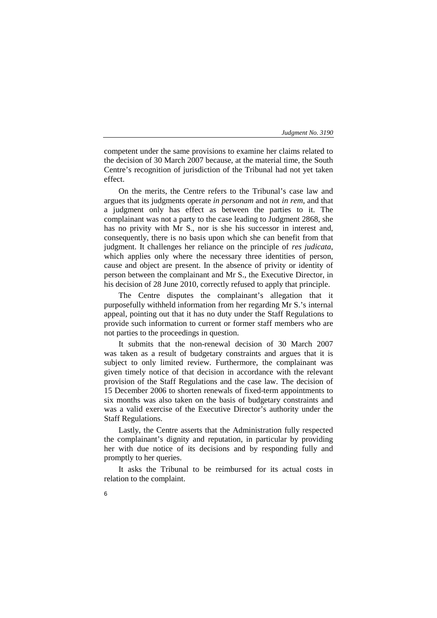competent under the same provisions to examine her claims related to the decision of 30 March 2007 because, at the material time, the South Centre's recognition of jurisdiction of the Tribunal had not yet taken effect.

On the merits, the Centre refers to the Tribunal's case law and argues that its judgments operate *in personam* and not *in rem,* and that a judgment only has effect as between the parties to it. The complainant was not a party to the case leading to Judgment 2868, she has no privity with Mr S., nor is she his successor in interest and, consequently, there is no basis upon which she can benefit from that judgment. It challenges her reliance on the principle of *res judicata*, which applies only where the necessary three identities of person, cause and object are present. In the absence of privity or identity of person between the complainant and Mr S., the Executive Director, in his decision of 28 June 2010, correctly refused to apply that principle.

The Centre disputes the complainant's allegation that it purposefully withheld information from her regarding Mr S.'s internal appeal, pointing out that it has no duty under the Staff Regulations to provide such information to current or former staff members who are not parties to the proceedings in question.

It submits that the non-renewal decision of 30 March 2007 was taken as a result of budgetary constraints and argues that it is subject to only limited review. Furthermore, the complainant was given timely notice of that decision in accordance with the relevant provision of the Staff Regulations and the case law. The decision of 15 December 2006 to shorten renewals of fixed-term appointments to six months was also taken on the basis of budgetary constraints and was a valid exercise of the Executive Director's authority under the Staff Regulations.

Lastly, the Centre asserts that the Administration fully respected the complainant's dignity and reputation, in particular by providing her with due notice of its decisions and by responding fully and promptly to her queries.

It asks the Tribunal to be reimbursed for its actual costs in relation to the complaint.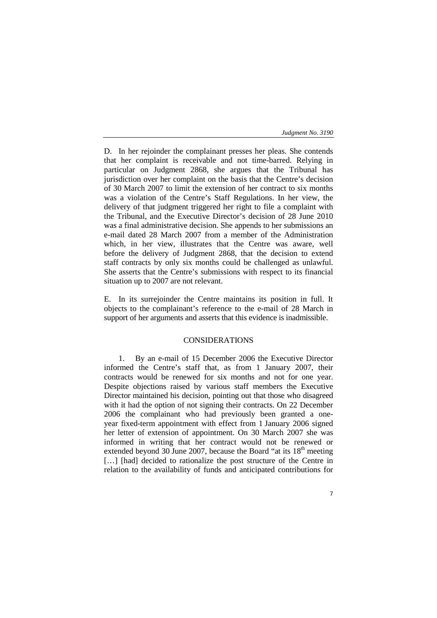D. In her rejoinder the complainant presses her pleas. She contends that her complaint is receivable and not time-barred. Relying in particular on Judgment 2868, she argues that the Tribunal has jurisdiction over her complaint on the basis that the Centre's decision of 30 March 2007 to limit the extension of her contract to six months was a violation of the Centre's Staff Regulations. In her view, the delivery of that judgment triggered her right to file a complaint with the Tribunal, and the Executive Director's decision of 28 June 2010 was a final administrative decision. She appends to her submissions an e-mail dated 28 March 2007 from a member of the Administration which, in her view, illustrates that the Centre was aware, well before the delivery of Judgment 2868, that the decision to extend staff contracts by only six months could be challenged as unlawful. She asserts that the Centre's submissions with respect to its financial situation up to 2007 are not relevant.

E. In its surrejoinder the Centre maintains its position in full. It objects to the complainant's reference to the e-mail of 28 March in support of her arguments and asserts that this evidence is inadmissible.

# CONSIDERATIONS

1. By an e-mail of 15 December 2006 the Executive Director informed the Centre's staff that, as from 1 January 2007, their contracts would be renewed for six months and not for one year. Despite objections raised by various staff members the Executive Director maintained his decision, pointing out that those who disagreed with it had the option of not signing their contracts. On 22 December 2006 the complainant who had previously been granted a oneyear fixed-term appointment with effect from 1 January 2006 signed her letter of extension of appointment. On 30 March 2007 she was informed in writing that her contract would not be renewed or extended beyond 30 June 2007, because the Board "at its  $18<sup>th</sup>$  meeting [...] [had] decided to rationalize the post structure of the Centre in relation to the availability of funds and anticipated contributions for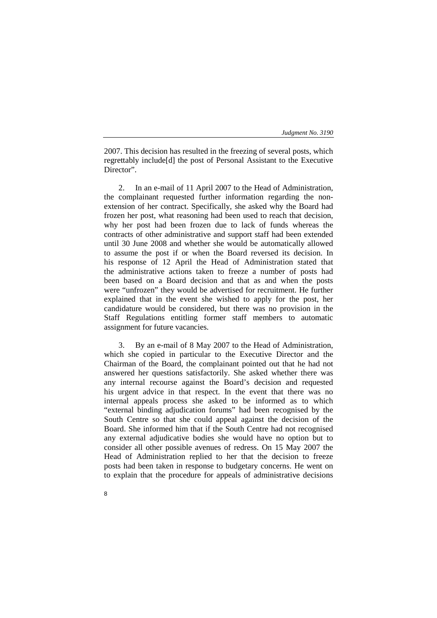2007. This decision has resulted in the freezing of several posts, which regrettably include[d] the post of Personal Assistant to the Executive Director".

2. In an e-mail of 11 April 2007 to the Head of Administration, the complainant requested further information regarding the nonextension of her contract. Specifically, she asked why the Board had frozen her post, what reasoning had been used to reach that decision, why her post had been frozen due to lack of funds whereas the contracts of other administrative and support staff had been extended until 30 June 2008 and whether she would be automatically allowed to assume the post if or when the Board reversed its decision. In his response of 12 April the Head of Administration stated that the administrative actions taken to freeze a number of posts had been based on a Board decision and that as and when the posts were "unfrozen" they would be advertised for recruitment. He further explained that in the event she wished to apply for the post, her candidature would be considered, but there was no provision in the Staff Regulations entitling former staff members to automatic assignment for future vacancies.

3. By an e-mail of 8 May 2007 to the Head of Administration, which she copied in particular to the Executive Director and the Chairman of the Board, the complainant pointed out that he had not answered her questions satisfactorily. She asked whether there was any internal recourse against the Board's decision and requested his urgent advice in that respect. In the event that there was no internal appeals process she asked to be informed as to which "external binding adjudication forums" had been recognised by the South Centre so that she could appeal against the decision of the Board. She informed him that if the South Centre had not recognised any external adjudicative bodies she would have no option but to consider all other possible avenues of redress. On 15 May 2007 the Head of Administration replied to her that the decision to freeze posts had been taken in response to budgetary concerns. He went on to explain that the procedure for appeals of administrative decisions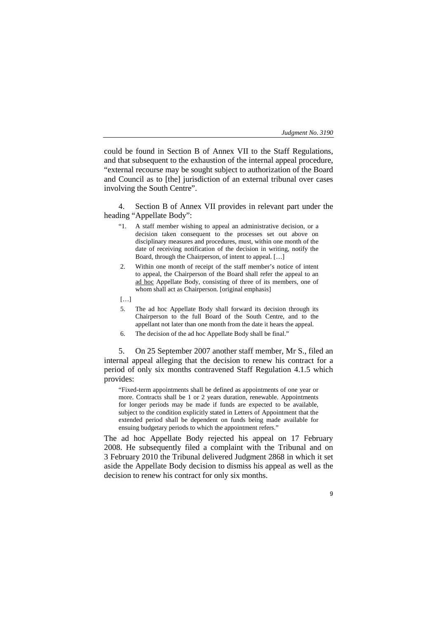could be found in Section B of Annex VII to the Staff Regulations, and that subsequent to the exhaustion of the internal appeal procedure, "external recourse may be sought subject to authorization of the Board and Council as to [the] jurisdiction of an external tribunal over cases involving the South Centre".

4. Section B of Annex VII provides in relevant part under the heading "Appellate Body":

- "1. A staff member wishing to appeal an administrative decision, or a decision taken consequent to the processes set out above on disciplinary measures and procedures, must, within one month of the date of receiving notification of the decision in writing, notify the Board, through the Chairperson, of intent to appeal. […]
- 2. Within one month of receipt of the staff member's notice of intent to appeal, the Chairperson of the Board shall refer the appeal to an ad hoc Appellate Body, consisting of three of its members, one of whom shall act as Chairperson. [original emphasis]
- […]
- 5. The ad hoc Appellate Body shall forward its decision through its Chairperson to the full Board of the South Centre, and to the appellant not later than one month from the date it hears the appeal.
- 6. The decision of the ad hoc Appellate Body shall be final."

5. On 25 September 2007 another staff member, Mr S., filed an internal appeal alleging that the decision to renew his contract for a period of only six months contravened Staff Regulation 4.1.5 which provides:

"Fixed-term appointments shall be defined as appointments of one year or more. Contracts shall be 1 or 2 years duration, renewable. Appointments for longer periods may be made if funds are expected to be available, subject to the condition explicitly stated in Letters of Appointment that the extended period shall be dependent on funds being made available for ensuing budgetary periods to which the appointment refers."

The ad hoc Appellate Body rejected his appeal on 17 February 2008. He subsequently filed a complaint with the Tribunal and on 3 February 2010 the Tribunal delivered Judgment 2868 in which it set aside the Appellate Body decision to dismiss his appeal as well as the decision to renew his contract for only six months.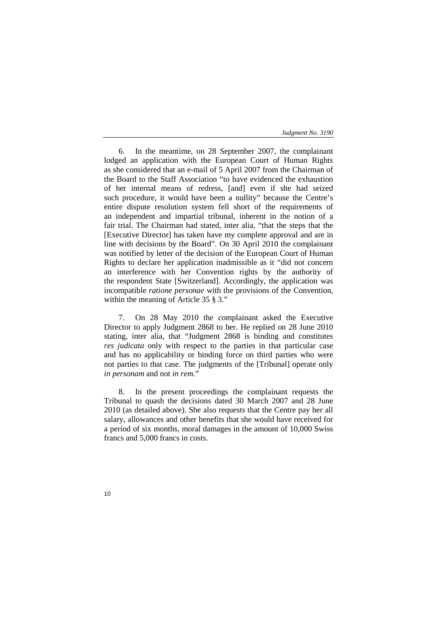6. In the meantime, on 28 September 2007, the complainant lodged an application with the European Court of Human Rights as she considered that an e-mail of 5 April 2007 from the Chairman of the Board to the Staff Association "to have evidenced the exhaustion of her internal means of redress, [and] even if she had seized such procedure, it would have been a nullity" because the Centre's entire dispute resolution system fell short of the requirements of an independent and impartial tribunal, inherent in the notion of a fair trial. The Chairman had stated, inter alia, "that the steps that the [Executive Director] has taken have my complete approval and are in line with decisions by the Board". On 30 April 2010 the complainant was notified by letter of the decision of the European Court of Human Rights to declare her application inadmissible as it "did not concern an interference with her Convention rights by the authority of the respondent State [Switzerland]. Accordingly, the application was incompatible *ratione personae* with the provisions of the Convention, within the meaning of Article 35 § 3."

7. On 28 May 2010 the complainant asked the Executive Director to apply Judgment 2868 to her. He replied on 28 June 2010 stating, inter alia, that "Judgment 2868 is binding and constitutes *res judicata* only with respect to the parties in that particular case and has no applicability or binding force on third parties who were not parties to that case. The judgments of the [Tribunal] operate only *in personam* and not *in rem.*"

8. In the present proceedings the complainant requests the Tribunal to quash the decisions dated 30 March 2007 and 28 June 2010 (as detailed above). She also requests that the Centre pay her all salary, allowances and other benefits that she would have received for a period of six months, moral damages in the amount of 10,000 Swiss francs and 5,000 francs in costs.